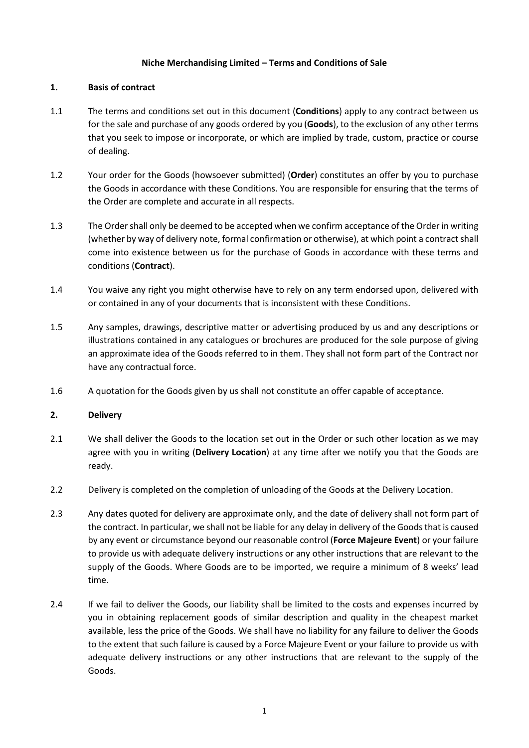## **Niche Merchandising Limited – Terms and Conditions of Sale**

## **1. Basis of contract**

- 1.1 The terms and conditions set out in this document (**Conditions**) apply to any contract between us for the sale and purchase of any goods ordered by you (**Goods**), to the exclusion of any other terms that you seek to impose or incorporate, or which are implied by trade, custom, practice or course of dealing.
- 1.2 Your order for the Goods (howsoever submitted) (**Order**) constitutes an offer by you to purchase the Goods in accordance with these Conditions. You are responsible for ensuring that the terms of the Order are complete and accurate in all respects.
- 1.3 The Order shall only be deemed to be accepted when we confirm acceptance of the Order in writing (whether by way of delivery note, formal confirmation or otherwise), at which point a contractshall come into existence between us for the purchase of Goods in accordance with these terms and conditions (**Contract**).
- 1.4 You waive any right you might otherwise have to rely on any term endorsed upon, delivered with or contained in any of your documents that is inconsistent with these Conditions.
- 1.5 Any samples, drawings, descriptive matter or advertising produced by us and any descriptions or illustrations contained in any catalogues or brochures are produced for the sole purpose of giving an approximate idea of the Goods referred to in them. They shall not form part of the Contract nor have any contractual force.
- 1.6 A quotation for the Goods given by us shall not constitute an offer capable of acceptance.

# **2. Delivery**

- 2.1 We shall deliver the Goods to the location set out in the Order or such other location as we may agree with you in writing (**Delivery Location**) at any time after we notify you that the Goods are ready.
- 2.2 Delivery is completed on the completion of unloading of the Goods at the Delivery Location.
- 2.3 Any dates quoted for delivery are approximate only, and the date of delivery shall not form part of the contract. In particular, we shall not be liable for any delay in delivery of the Goods that is caused by any event or circumstance beyond our reasonable control (**Force Majeure Event**) or your failure to provide us with adequate delivery instructions or any other instructions that are relevant to the supply of the Goods. Where Goods are to be imported, we require a minimum of 8 weeks' lead time.
- 2.4 If we fail to deliver the Goods, our liability shall be limited to the costs and expenses incurred by you in obtaining replacement goods of similar description and quality in the cheapest market available, less the price of the Goods. We shall have no liability for any failure to deliver the Goods to the extent that such failure is caused by a Force Majeure Event or your failure to provide us with adequate delivery instructions or any other instructions that are relevant to the supply of the Goods.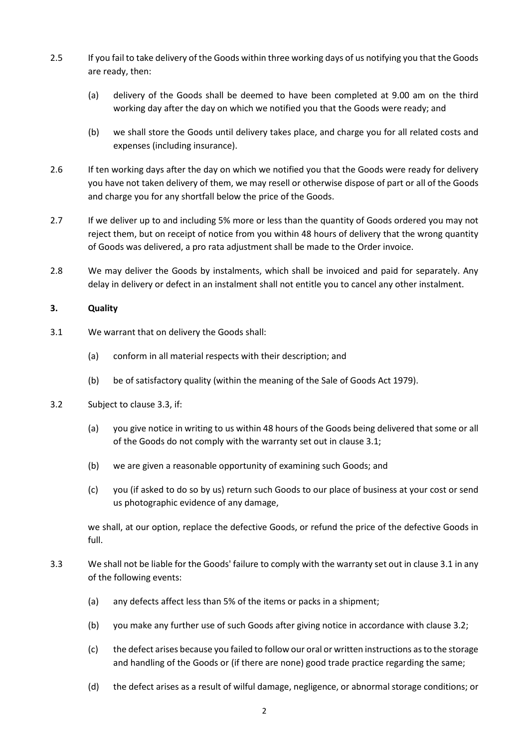- 2.5 If you fail to take delivery of the Goods within three working days of us notifying you that the Goods are ready, then:
	- (a) delivery of the Goods shall be deemed to have been completed at 9.00 am on the third working day after the day on which we notified you that the Goods were ready; and
	- (b) we shall store the Goods until delivery takes place, and charge you for all related costs and expenses (including insurance).
- 2.6 If ten working days after the day on which we notified you that the Goods were ready for delivery you have not taken delivery of them, we may resell or otherwise dispose of part or all of the Goods and charge you for any shortfall below the price of the Goods.
- 2.7 If we deliver up to and including 5% more or less than the quantity of Goods ordered you may not reject them, but on receipt of notice from you within 48 hours of delivery that the wrong quantity of Goods was delivered, a pro rata adjustment shall be made to the Order invoice.
- 2.8 We may deliver the Goods by instalments, which shall be invoiced and paid for separately. Any delay in delivery or defect in an instalment shall not entitle you to cancel any other instalment.

# <span id="page-1-3"></span>**3. Quality**

- <span id="page-1-1"></span>3.1 We warrant that on delivery the Goods shall:
	- (a) conform in all material respects with their description; and
	- (b) be of satisfactory quality (within the meaning of the Sale of Goods Act 1979).
- <span id="page-1-2"></span>3.2 Subject to clause [3.3,](#page-1-0) if:
	- (a) you give notice in writing to us within 48 hours of the Goods being delivered that some or all of the Goods do not comply with the warranty set out in clause [3.1;](#page-1-1)
	- (b) we are given a reasonable opportunity of examining such Goods; and
	- (c) you (if asked to do so by us) return such Goods to our place of business at your cost or send us photographic evidence of any damage,

we shall, at our option, replace the defective Goods, or refund the price of the defective Goods in full.

- <span id="page-1-0"></span>3.3 We shall not be liable for the Goods' failure to comply with the warranty set out in clause [3.1](#page-1-1) in any of the following events:
	- (a) any defects affect less than 5% of the items or packs in a shipment;
	- (b) you make any further use of such Goods after giving notice in accordance with clause [3.2;](#page-1-2)
	- (c) the defect arises because you failed to follow our oral or written instructions as to the storage and handling of the Goods or (if there are none) good trade practice regarding the same;
	- (d) the defect arises as a result of wilful damage, negligence, or abnormal storage conditions; or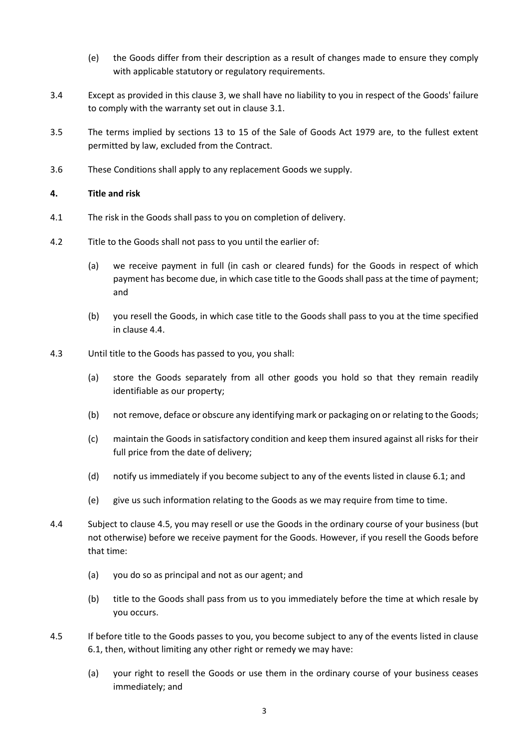- (e) the Goods differ from their description as a result of changes made to ensure they comply with applicable statutory or regulatory requirements.
- 3.4 Except as provided in this clause [3,](#page-1-3) we shall have no liability to you in respect of the Goods' failure to comply with the warranty set out in clause [3.1.](#page-1-1)
- 3.5 The terms implied by sections 13 to 15 of the Sale of Goods Act 1979 are, to the fullest extent permitted by law, excluded from the Contract.
- 3.6 These Conditions shall apply to any replacement Goods we supply.

## **4. Title and risk**

- 4.1 The risk in the Goods shall pass to you on completion of delivery.
- 4.2 Title to the Goods shall not pass to you until the earlier of:
	- (a) we receive payment in full (in cash or cleared funds) for the Goods in respect of which payment has become due, in which case title to the Goods shall pass at the time of payment; and
	- (b) you resell the Goods, in which case title to the Goods shall pass to you at the time specified in clause [4.4.](#page-2-0)
- 4.3 Until title to the Goods has passed to you, you shall:
	- (a) store the Goods separately from all other goods you hold so that they remain readily identifiable as our property;
	- (b) not remove, deface or obscure any identifying mark or packaging on or relating to the Goods;
	- (c) maintain the Goods in satisfactory condition and keep them insured against all risks for their full price from the date of delivery;
	- (d) notify us immediately if you become subject to any of the events listed in claus[e 6.1;](#page-4-0) and
	- (e) give us such information relating to the Goods as we may require from time to time.
- <span id="page-2-0"></span>4.4 Subject to clause [4.5,](#page-2-1) you may resell or use the Goods in the ordinary course of your business (but not otherwise) before we receive payment for the Goods. However, if you resell the Goods before that time:
	- (a) you do so as principal and not as our agent; and
	- (b) title to the Goods shall pass from us to you immediately before the time at which resale by you occurs.
- <span id="page-2-1"></span>4.5 If before title to the Goods passes to you, you become subject to any of the events listed in clause [6.1,](#page-4-0) then, without limiting any other right or remedy we may have:
	- (a) your right to resell the Goods or use them in the ordinary course of your business ceases immediately; and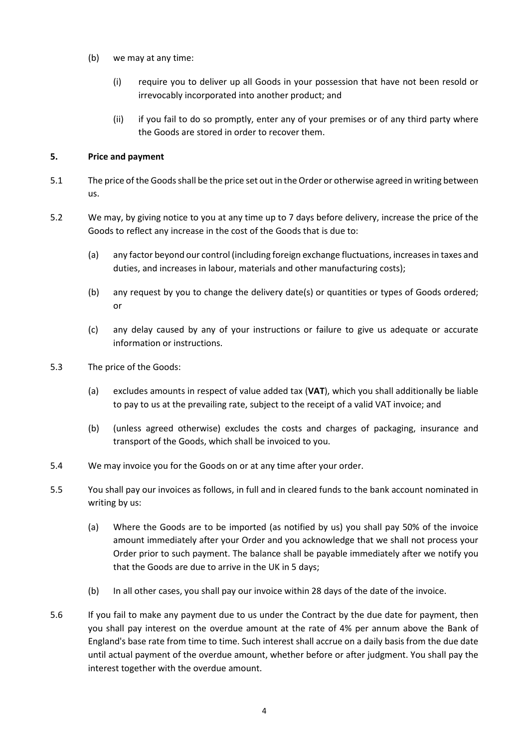- (b) we may at any time:
	- (i) require you to deliver up all Goods in your possession that have not been resold or irrevocably incorporated into another product; and
	- (ii) if you fail to do so promptly, enter any of your premises or of any third party where the Goods are stored in order to recover them.

# **5. Price and payment**

- 5.1 The price of the Goods shall be the price set out in the Order or otherwise agreed in writing between us.
- 5.2 We may, by giving notice to you at any time up to 7 days before delivery, increase the price of the Goods to reflect any increase in the cost of the Goods that is due to:
	- (a) any factor beyond our control (including foreign exchange fluctuations, increases in taxes and duties, and increases in labour, materials and other manufacturing costs);
	- (b) any request by you to change the delivery date(s) or quantities or types of Goods ordered; or
	- (c) any delay caused by any of your instructions or failure to give us adequate or accurate information or instructions.
- 5.3 The price of the Goods:
	- (a) excludes amounts in respect of value added tax (**VAT**), which you shall additionally be liable to pay to us at the prevailing rate, subject to the receipt of a valid VAT invoice; and
	- (b) (unless agreed otherwise) excludes the costs and charges of packaging, insurance and transport of the Goods, which shall be invoiced to you.
- 5.4 We may invoice you for the Goods on or at any time after your order.
- 5.5 You shall pay our invoices as follows, in full and in cleared funds to the bank account nominated in writing by us:
	- (a) Where the Goods are to be imported (as notified by us) you shall pay 50% of the invoice amount immediately after your Order and you acknowledge that we shall not process your Order prior to such payment. The balance shall be payable immediately after we notify you that the Goods are due to arrive in the UK in 5 days;
	- (b) In all other cases, you shall pay our invoice within 28 days of the date of the invoice.
- 5.6 If you fail to make any payment due to us under the Contract by the due date for payment, then you shall pay interest on the overdue amount at the rate of 4% per annum above the Bank of England's base rate from time to time. Such interest shall accrue on a daily basis from the due date until actual payment of the overdue amount, whether before or after judgment. You shall pay the interest together with the overdue amount.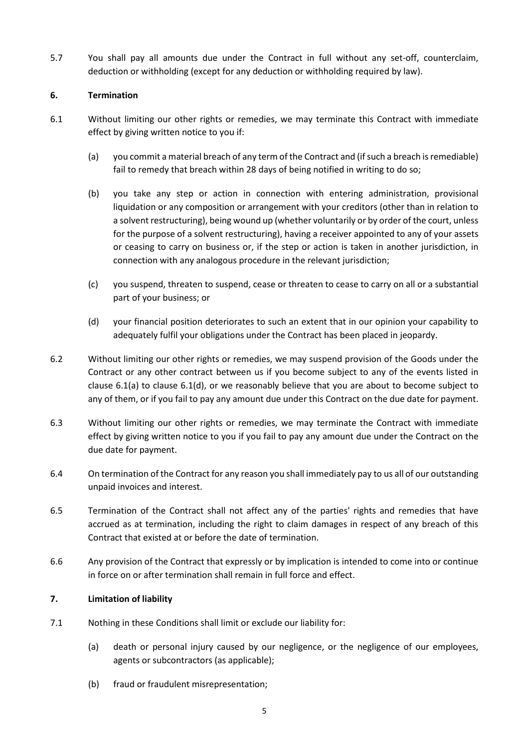5.7 You shall pay all amounts due under the Contract in full without any set-off, counterclaim, deduction or withholding (except for any deduction or withholding required by law).

# **6. Termination**

- <span id="page-4-1"></span><span id="page-4-0"></span>6.1 Without limiting our other rights or remedies, we may terminate this Contract with immediate effect by giving written notice to you if:
	- (a) you commit a material breach of any term of the Contract and (if such a breach is remediable) fail to remedy that breach within 28 days of being notified in writing to do so;
	- (b) you take any step or action in connection with entering administration, provisional liquidation or any composition or arrangement with your creditors (other than in relation to a solvent restructuring), being wound up (whether voluntarily or by order of the court, unless for the purpose of a solvent restructuring), having a receiver appointed to any of your assets or ceasing to carry on business or, if the step or action is taken in another jurisdiction, in connection with any analogous procedure in the relevant jurisdiction;
	- (c) you suspend, threaten to suspend, cease or threaten to cease to carry on all or a substantial part of your business; or
	- (d) your financial position deteriorates to such an extent that in our opinion your capability to adequately fulfil your obligations under the Contract has been placed in jeopardy.
- <span id="page-4-2"></span>6.2 Without limiting our other rights or remedies, we may suspend provision of the Goods under the Contract or any other contract between us if you become subject to any of the events listed in clause 6.[1\(a\)](#page-4-1) to clause 6.[1\(d\),](#page-4-2) or we reasonably believe that you are about to become subject to any of them, or if you fail to pay any amount due under this Contract on the due date for payment.
- 6.3 Without limiting our other rights or remedies, we may terminate the Contract with immediate effect by giving written notice to you if you fail to pay any amount due under the Contract on the due date for payment.
- 6.4 On termination of the Contract for any reason you shall immediately pay to us all of our outstanding unpaid invoices and interest.
- 6.5 Termination of the Contract shall not affect any of the parties' rights and remedies that have accrued as at termination, including the right to claim damages in respect of any breach of this Contract that existed at or before the date of termination.
- 6.6 Any provision of the Contract that expressly or by implication is intended to come into or continue in force on or after termination shall remain in full force and effect.

# **7. Limitation of liability**

- <span id="page-4-3"></span>7.1 Nothing in these Conditions shall limit or exclude our liability for:
	- (a) death or personal injury caused by our negligence, or the negligence of our employees, agents or subcontractors (as applicable);
	- (b) fraud or fraudulent misrepresentation;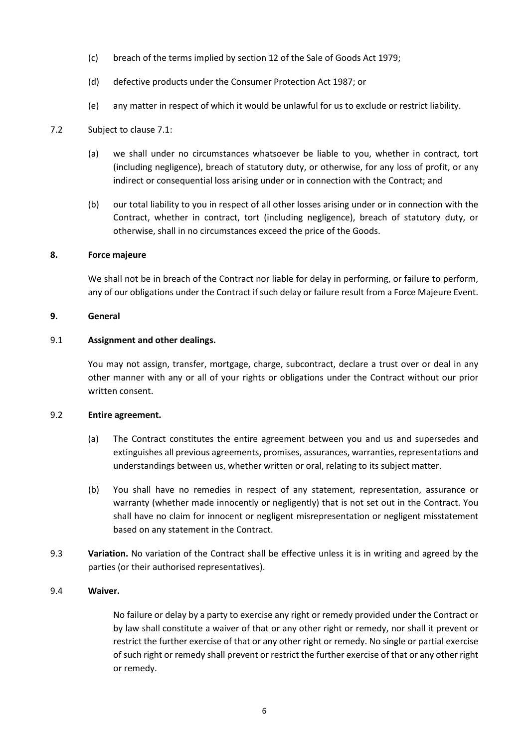- (c) breach of the terms implied by section 12 of the Sale of Goods Act 1979;
- (d) defective products under the Consumer Protection Act 1987; or
- (e) any matter in respect of which it would be unlawful for us to exclude or restrict liability.

## 7.2 Subject to clause [7.1:](#page-4-3)

- (a) we shall under no circumstances whatsoever be liable to you, whether in contract, tort (including negligence), breach of statutory duty, or otherwise, for any loss of profit, or any indirect or consequential loss arising under or in connection with the Contract; and
- (b) our total liability to you in respect of all other losses arising under or in connection with the Contract, whether in contract, tort (including negligence), breach of statutory duty, or otherwise, shall in no circumstances exceed the price of the Goods.

### **8. Force majeure**

We shall not be in breach of the Contract nor liable for delay in performing, or failure to perform, any of our obligations under the Contract if such delay or failure result from a Force Majeure Event.

#### **9. General**

#### 9.1 **Assignment and other dealings.**

You may not assign, transfer, mortgage, charge, subcontract, declare a trust over or deal in any other manner with any or all of your rights or obligations under the Contract without our prior written consent.

## 9.2 **Entire agreement.**

- (a) The Contract constitutes the entire agreement between you and us and supersedes and extinguishes all previous agreements, promises, assurances, warranties, representations and understandings between us, whether written or oral, relating to its subject matter.
- (b) You shall have no remedies in respect of any statement, representation, assurance or warranty (whether made innocently or negligently) that is not set out in the Contract. You shall have no claim for innocent or negligent misrepresentation or negligent misstatement based on any statement in the Contract.
- 9.3 **Variation.** No variation of the Contract shall be effective unless it is in writing and agreed by the parties (or their authorised representatives).

### 9.4 **Waiver.**

No failure or delay by a party to exercise any right or remedy provided under the Contract or by law shall constitute a waiver of that or any other right or remedy, nor shall it prevent or restrict the further exercise of that or any other right or remedy. No single or partial exercise of such right or remedy shall prevent or restrict the further exercise of that or any other right or remedy.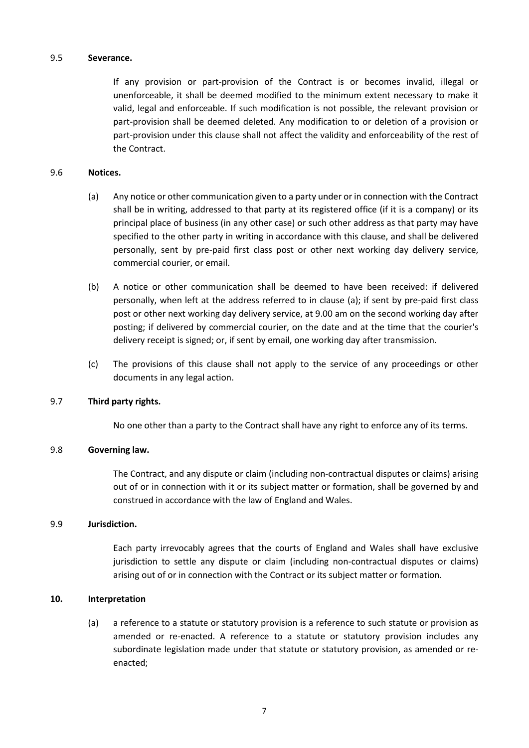#### 9.5 **Severance.**

If any provision or part-provision of the Contract is or becomes invalid, illegal or unenforceable, it shall be deemed modified to the minimum extent necessary to make it valid, legal and enforceable. If such modification is not possible, the relevant provision or part-provision shall be deemed deleted. Any modification to or deletion of a provision or part-provision under this clause shall not affect the validity and enforceability of the rest of the Contract.

## <span id="page-6-0"></span>9.6 **Notices.**

- (a) Any notice or other communication given to a party under or in connection with the Contract shall be in writing, addressed to that party at its registered office (if it is a company) or its principal place of business (in any other case) or such other address as that party may have specified to the other party in writing in accordance with this clause, and shall be delivered personally, sent by pre-paid first class post or other next working day delivery service, commercial courier, or email.
- (b) A notice or other communication shall be deemed to have been received: if delivered personally, when left at the address referred to in clause [\(a\);](#page-6-0) if sent by pre-paid first class post or other next working day delivery service, at 9.00 am on the second working day after posting; if delivered by commercial courier, on the date and at the time that the courier's delivery receipt is signed; or, if sent by email, one working day after transmission.
- (c) The provisions of this clause shall not apply to the service of any proceedings or other documents in any legal action.

### 9.7 **Third party rights.**

No one other than a party to the Contract shall have any right to enforce any of its terms.

### 9.8 **Governing law.**

The Contract, and any dispute or claim (including non-contractual disputes or claims) arising out of or in connection with it or its subject matter or formation, shall be governed by and construed in accordance with the law of England and Wales.

#### 9.9 **Jurisdiction.**

Each party irrevocably agrees that the courts of England and Wales shall have exclusive jurisdiction to settle any dispute or claim (including non-contractual disputes or claims) arising out of or in connection with the Contract or its subject matter or formation.

### **10. Interpretation**

(a) a reference to a statute or statutory provision is a reference to such statute or provision as amended or re-enacted. A reference to a statute or statutory provision includes any subordinate legislation made under that statute or statutory provision, as amended or reenacted;